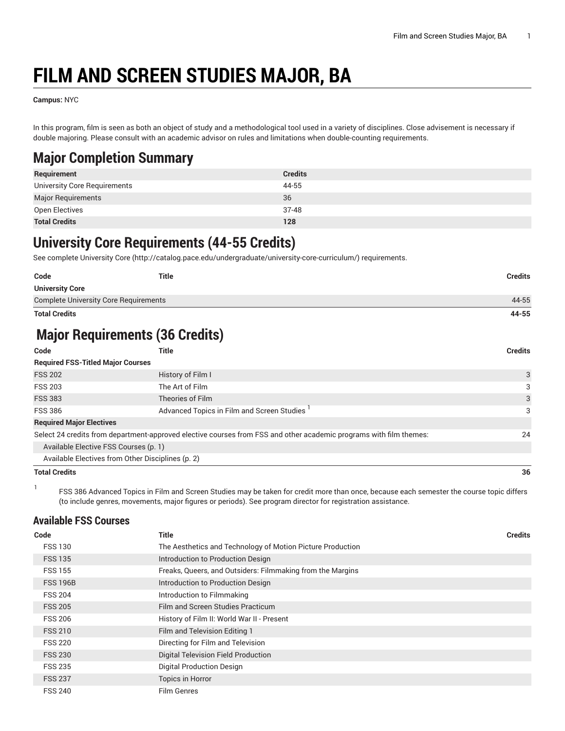# **FILM AND SCREEN STUDIES MAJOR, BA**

**Campus:** NYC

In this program, film is seen as both an object of study and a methodological tool used in a variety of disciplines. Close advisement is necessary if double majoring. Please consult with an academic advisor on rules and limitations when double-counting requirements.

### **Major Completion Summary**

| Requirement                  | <b>Credits</b> |
|------------------------------|----------------|
| University Core Requirements | 44-55          |
| Major Requirements           | 36             |
| Open Electives               | $37-48$        |
| <b>Total Credits</b>         | 128            |

### **University Core Requirements (44-55 Credits)**

See complete [University](http://catalog.pace.edu/undergraduate/university-core-curriculum/) Core (<http://catalog.pace.edu/undergraduate/university-core-curriculum/>) requirements.

| Code                                         | <b>Title</b> | <b>Credits</b> |
|----------------------------------------------|--------------|----------------|
| <b>University Core</b>                       |              |                |
| <b>Complete University Core Requirements</b> |              | 44-55          |
| <b>Total Credits</b>                         |              | 44-55          |

# **Major Requirements (36 Credits)**

| Code                                     | Title                                                                                                              | <b>Credits</b> |
|------------------------------------------|--------------------------------------------------------------------------------------------------------------------|----------------|
| <b>Required FSS-Titled Major Courses</b> |                                                                                                                    |                |
| <b>FSS 202</b>                           | History of Film I                                                                                                  | 3              |
| <b>FSS 203</b>                           | The Art of Film                                                                                                    | 3              |
| <b>FSS 383</b>                           | Theories of Film                                                                                                   | 3              |
| <b>FSS 386</b>                           | Advanced Topics in Film and Screen Studies                                                                         | 3              |
| <b>Required Major Electives</b>          |                                                                                                                    |                |
|                                          | Select 24 credits from department-approved elective courses from FSS and other academic programs with film themes: | 24             |
| Available Elective FSS Courses (p. 1)    |                                                                                                                    |                |
|                                          | Available Electives from Other Disciplines (p. 2)                                                                  |                |
| <b>Total Credits</b>                     |                                                                                                                    | 36             |

1 FSS 386 Advanced Topics in Film and Screen Studies may be taken for credit more than once, because each semester the course topic differs (to include genres, movements, major figures or periods). See program director for registration assistance.

#### <span id="page-0-0"></span>**Available FSS Courses**

| Code            | Title                                                      | <b>Credits</b> |
|-----------------|------------------------------------------------------------|----------------|
| <b>FSS 130</b>  | The Aesthetics and Technology of Motion Picture Production |                |
| <b>FSS 135</b>  | Introduction to Production Design                          |                |
| <b>FSS 155</b>  | Freaks, Queers, and Outsiders: Filmmaking from the Margins |                |
| <b>FSS 196B</b> | Introduction to Production Design                          |                |
| <b>FSS 204</b>  | Introduction to Filmmaking                                 |                |
| <b>FSS 205</b>  | Film and Screen Studies Practicum                          |                |
| <b>FSS 206</b>  | History of Film II: World War II - Present                 |                |
| <b>FSS 210</b>  | Film and Television Editing 1                              |                |
| <b>FSS 220</b>  | Directing for Film and Television                          |                |
| <b>FSS 230</b>  | Digital Television Field Production                        |                |
| <b>FSS 235</b>  | <b>Digital Production Design</b>                           |                |
| <b>FSS 237</b>  | <b>Topics in Horror</b>                                    |                |
| <b>FSS 240</b>  | <b>Film Genres</b>                                         |                |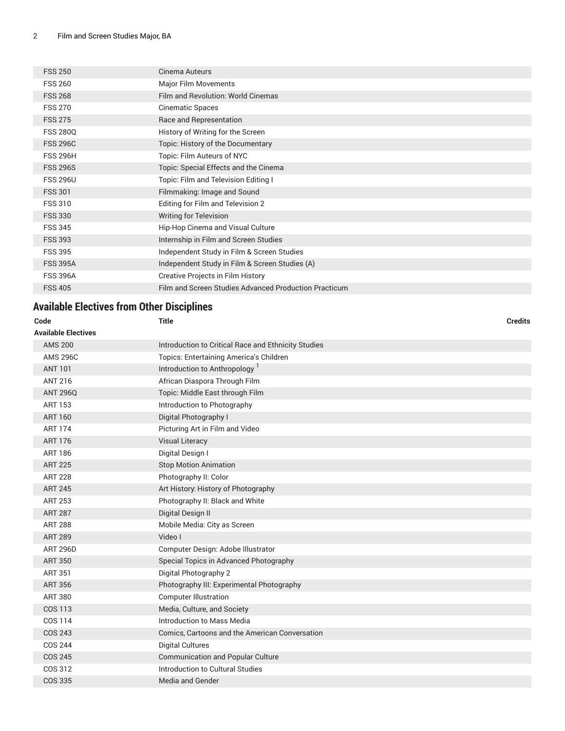| <b>FSS 250</b>  | Cinema Auteurs                                        |
|-----------------|-------------------------------------------------------|
| <b>FSS 260</b>  | Major Film Movements                                  |
| <b>FSS 268</b>  | Film and Revolution: World Cinemas                    |
| <b>FSS 270</b>  | Cinematic Spaces                                      |
| <b>FSS 275</b>  | Race and Representation                               |
| <b>FSS 2800</b> | History of Writing for the Screen                     |
| <b>FSS 296C</b> | Topic: History of the Documentary                     |
| <b>FSS 296H</b> | Topic: Film Auteurs of NYC                            |
| <b>FSS 296S</b> | Topic: Special Effects and the Cinema                 |
| <b>FSS 296U</b> | Topic: Film and Television Editing I                  |
| <b>FSS 301</b>  | Filmmaking: Image and Sound                           |
| <b>FSS 310</b>  | Editing for Film and Television 2                     |
| <b>FSS 330</b>  | <b>Writing for Television</b>                         |
| <b>FSS 345</b>  | Hip-Hop Cinema and Visual Culture                     |
| <b>FSS 393</b>  | Internship in Film and Screen Studies                 |
| <b>FSS 395</b>  | Independent Study in Film & Screen Studies            |
| <b>FSS 395A</b> | Independent Study in Film & Screen Studies (A)        |
| <b>FSS 396A</b> | Creative Projects in Film History                     |
| <b>FSS 405</b>  | Film and Screen Studies Advanced Production Practicum |
|                 |                                                       |

### <span id="page-1-0"></span>**Available Electives from Other Disciplines**

| Code                       | <b>Title</b>                                        | <b>Credits</b> |
|----------------------------|-----------------------------------------------------|----------------|
| <b>Available Electives</b> |                                                     |                |
| <b>AMS 200</b>             | Introduction to Critical Race and Ethnicity Studies |                |
| <b>AMS 296C</b>            | Topics: Entertaining America's Children             |                |
| <b>ANT 101</b>             | Introduction to Anthropology <sup>1</sup>           |                |
| <b>ANT 216</b>             | African Diaspora Through Film                       |                |
| <b>ANT 296Q</b>            | Topic: Middle East through Film                     |                |
| <b>ART 153</b>             | Introduction to Photography                         |                |
| <b>ART 160</b>             | Digital Photography I                               |                |
| <b>ART 174</b>             | Picturing Art in Film and Video                     |                |
| <b>ART 176</b>             | <b>Visual Literacy</b>                              |                |
| <b>ART 186</b>             | Digital Design I                                    |                |
| <b>ART 225</b>             | <b>Stop Motion Animation</b>                        |                |
| <b>ART 228</b>             | Photography II: Color                               |                |
| <b>ART 245</b>             | Art History: History of Photography                 |                |
| <b>ART 253</b>             | Photography II: Black and White                     |                |
| <b>ART 287</b>             | Digital Design II                                   |                |
| <b>ART 288</b>             | Mobile Media: City as Screen                        |                |
| <b>ART 289</b>             | Video I                                             |                |
| <b>ART 296D</b>            | Computer Design: Adobe Illustrator                  |                |
| <b>ART 350</b>             | Special Topics in Advanced Photography              |                |
| <b>ART 351</b>             | Digital Photography 2                               |                |
| <b>ART 356</b>             | Photography III: Experimental Photography           |                |
| <b>ART 380</b>             | <b>Computer Illustration</b>                        |                |
| <b>COS 113</b>             | Media, Culture, and Society                         |                |
| COS 114                    | Introduction to Mass Media                          |                |
| <b>COS 243</b>             | Comics, Cartoons and the American Conversation      |                |
| <b>COS 244</b>             | <b>Digital Cultures</b>                             |                |
| <b>COS 245</b>             | <b>Communication and Popular Culture</b>            |                |
| COS 312                    | Introduction to Cultural Studies                    |                |
| <b>COS 335</b>             | <b>Media and Gender</b>                             |                |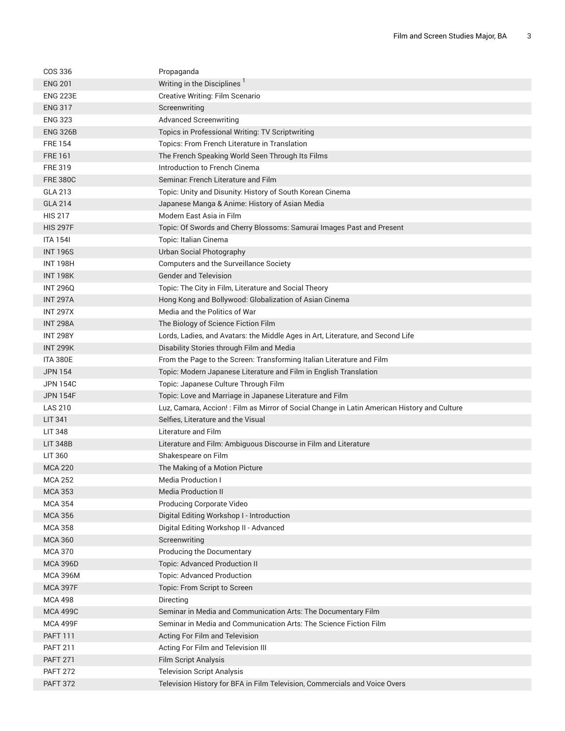| COS 336         | Propaganda                                                                                   |
|-----------------|----------------------------------------------------------------------------------------------|
| <b>ENG 201</b>  | Writing in the Disciplines                                                                   |
| <b>ENG 223E</b> | Creative Writing: Film Scenario                                                              |
| <b>ENG 317</b>  | Screenwriting                                                                                |
| <b>ENG 323</b>  | <b>Advanced Screenwriting</b>                                                                |
| <b>ENG 326B</b> | Topics in Professional Writing: TV Scriptwriting                                             |
| <b>FRE 154</b>  | Topics: From French Literature in Translation                                                |
| <b>FRE 161</b>  | The French Speaking World Seen Through Its Films                                             |
| <b>FRE 319</b>  | Introduction to French Cinema                                                                |
| <b>FRE 380C</b> | Seminar. French Literature and Film                                                          |
| GLA 213         | Topic: Unity and Disunity: History of South Korean Cinema                                    |
| <b>GLA 214</b>  | Japanese Manga & Anime: History of Asian Media                                               |
| <b>HIS 217</b>  | Modern East Asia in Film                                                                     |
| <b>HIS 297F</b> | Topic: Of Swords and Cherry Blossoms: Samurai Images Past and Present                        |
| <b>ITA 1541</b> | Topic: Italian Cinema                                                                        |
| <b>INT 196S</b> | Urban Social Photography                                                                     |
| <b>INT 198H</b> | Computers and the Surveillance Society                                                       |
| <b>INT 198K</b> | <b>Gender and Television</b>                                                                 |
| <b>INT 296Q</b> | Topic: The City in Film, Literature and Social Theory                                        |
| <b>INT 297A</b> | Hong Kong and Bollywood: Globalization of Asian Cinema                                       |
| <b>INT 297X</b> | Media and the Politics of War                                                                |
| <b>INT 298A</b> | The Biology of Science Fiction Film                                                          |
| <b>INT 298Y</b> | Lords, Ladies, and Avatars: the Middle Ages in Art, Literature, and Second Life              |
| <b>INT 299K</b> | Disability Stories through Film and Media                                                    |
| <b>ITA 380E</b> | From the Page to the Screen: Transforming Italian Literature and Film                        |
| <b>JPN 154</b>  | Topic: Modern Japanese Literature and Film in English Translation                            |
| JPN 154C        | Topic: Japanese Culture Through Film                                                         |
| <b>JPN 154F</b> | Topic: Love and Marriage in Japanese Literature and Film                                     |
| <b>LAS 210</b>  | Luz, Camara, Accion! : Film as Mirror of Social Change in Latin American History and Culture |
| LIT 341         | Selfies, Literature and the Visual                                                           |
| <b>LIT 348</b>  | Literature and Film                                                                          |
| <b>LIT 348B</b> | Literature and Film: Ambiguous Discourse in Film and Literature                              |
| LIT 360         | Shakespeare on Film                                                                          |
| <b>MCA 220</b>  | The Making of a Motion Picture                                                               |
| <b>MCA 252</b>  | Media Production I                                                                           |
| <b>MCA 353</b>  | <b>Media Production II</b>                                                                   |
| <b>MCA 354</b>  | Producing Corporate Video                                                                    |
| <b>MCA 356</b>  | Digital Editing Workshop I - Introduction                                                    |
| <b>MCA 358</b>  | Digital Editing Workshop II - Advanced                                                       |
| <b>MCA 360</b>  | Screenwriting                                                                                |
| <b>MCA 370</b>  | Producing the Documentary                                                                    |
| <b>MCA 396D</b> | <b>Topic: Advanced Production II</b>                                                         |
| <b>MCA 396M</b> | Topic: Advanced Production                                                                   |
| <b>MCA 397F</b> | Topic: From Script to Screen                                                                 |
| <b>MCA 498</b>  | Directing                                                                                    |
| <b>MCA 499C</b> | Seminar in Media and Communication Arts: The Documentary Film                                |
| <b>MCA 499F</b> | Seminar in Media and Communication Arts: The Science Fiction Film                            |
| <b>PAFT 111</b> | Acting For Film and Television                                                               |
| <b>PAFT 211</b> | Acting For Film and Television III                                                           |
| <b>PAFT 271</b> | <b>Film Script Analysis</b>                                                                  |
| <b>PAFT 272</b> | <b>Television Script Analysis</b>                                                            |
| <b>PAFT 372</b> | Television History for BFA in Film Television, Commercials and Voice Overs                   |
|                 |                                                                                              |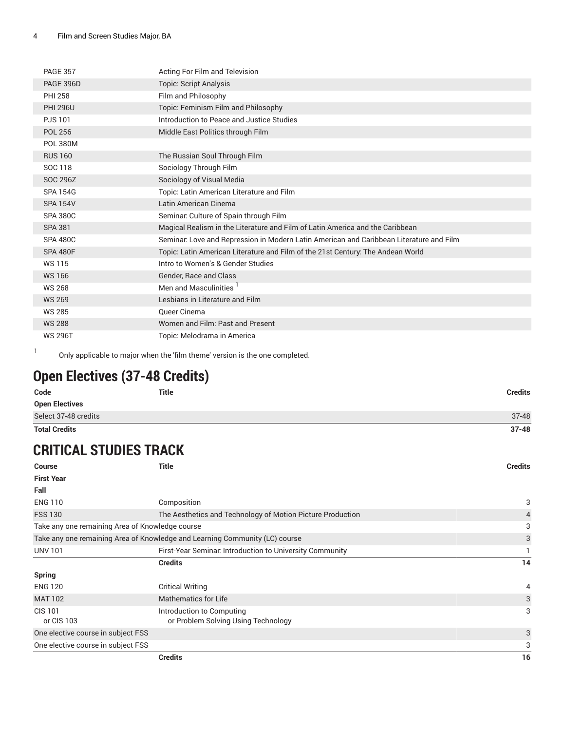| <b>PAGE 357</b>  | Acting For Film and Television                                                          |
|------------------|-----------------------------------------------------------------------------------------|
| <b>PAGE 396D</b> | <b>Topic: Script Analysis</b>                                                           |
| <b>PHI 258</b>   | Film and Philosophy                                                                     |
| <b>PHI 296U</b>  | Topic: Feminism Film and Philosophy                                                     |
| <b>PJS101</b>    | Introduction to Peace and Justice Studies                                               |
| <b>POL 256</b>   | Middle East Politics through Film                                                       |
| <b>POL 380M</b>  |                                                                                         |
| <b>RUS 160</b>   | The Russian Soul Through Film                                                           |
| SOC 118          | Sociology Through Film                                                                  |
| SOC 296Z         | Sociology of Visual Media                                                               |
| <b>SPA 154G</b>  | Topic: Latin American Literature and Film                                               |
| <b>SPA 154V</b>  | Latin American Cinema                                                                   |
| <b>SPA 380C</b>  | Seminar. Culture of Spain through Film                                                  |
| <b>SPA 381</b>   | Magical Realism in the Literature and Film of Latin America and the Caribbean           |
| <b>SPA 480C</b>  | Seminar. Love and Repression in Modern Latin American and Caribbean Literature and Film |
| <b>SPA 480F</b>  | Topic: Latin American Literature and Film of the 21st Century: The Andean World         |
| <b>WS115</b>     | Intro to Women's & Gender Studies                                                       |
| <b>WS166</b>     | Gender, Race and Class                                                                  |
| <b>WS 268</b>    | Men and Masculinities                                                                   |
| <b>WS 269</b>    | Lesbians in Literature and Film                                                         |
| <b>WS 285</b>    | Queer Cinema                                                                            |
| <b>WS 288</b>    | Women and Film: Past and Present                                                        |
| <b>WS 296T</b>   | Topic: Melodrama in America                                                             |

Only applicable to major when the 'film theme' version is the one completed.

## **Open Electives (37-48 Credits)**

1

| Code                  | Title | <b>Credits</b> |
|-----------------------|-------|----------------|
| <b>Open Electives</b> |       |                |
| Select 37-48 credits  |       | $37 - 48$      |
| <b>Total Credits</b>  |       | $37 - 48$      |

## **CRITICAL STUDIES TRACK**

| <b>Course</b>                      | <b>Title</b>                                                                | <b>Credits</b> |
|------------------------------------|-----------------------------------------------------------------------------|----------------|
| <b>First Year</b>                  |                                                                             |                |
| Fall                               |                                                                             |                |
| <b>ENG 110</b>                     | Composition                                                                 | 3              |
| <b>FSS 130</b>                     | The Aesthetics and Technology of Motion Picture Production                  | 4              |
|                                    | Take any one remaining Area of Knowledge course                             | 3              |
|                                    | Take any one remaining Area of Knowledge and Learning Community (LC) course | 3              |
| <b>UNV 101</b>                     | First-Year Seminar. Introduction to University Community                    |                |
|                                    | <b>Credits</b>                                                              | 14             |
| <b>Spring</b>                      |                                                                             |                |
| <b>ENG 120</b>                     | <b>Critical Writing</b>                                                     | 4              |
| <b>MAT 102</b>                     | <b>Mathematics for Life</b>                                                 | 3              |
| <b>CIS 101</b>                     | Introduction to Computing                                                   | 3              |
| or CIS 103                         | or Problem Solving Using Technology                                         |                |
| One elective course in subject FSS |                                                                             | 3              |
| One elective course in subject FSS |                                                                             | 3              |
|                                    | <b>Credits</b>                                                              | 16             |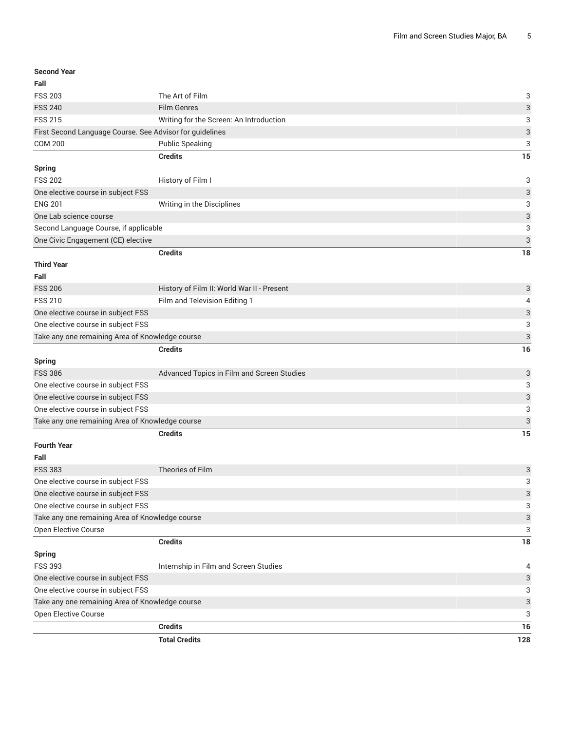| <b>Second Year</b>                                       |                                            |                           |
|----------------------------------------------------------|--------------------------------------------|---------------------------|
| Fall                                                     |                                            |                           |
| <b>FSS 203</b>                                           | The Art of Film                            | 3                         |
| <b>FSS 240</b>                                           | <b>Film Genres</b>                         | 3                         |
| <b>FSS 215</b>                                           | Writing for the Screen: An Introduction    | 3                         |
| First Second Language Course. See Advisor for guidelines |                                            | 3                         |
| <b>COM 200</b>                                           | <b>Public Speaking</b>                     | 3                         |
|                                                          | <b>Credits</b>                             | 15                        |
| <b>Spring</b>                                            |                                            |                           |
| <b>FSS 202</b>                                           | History of Film I                          | 3                         |
| One elective course in subject FSS                       |                                            | 3                         |
| <b>ENG 201</b>                                           | Writing in the Disciplines                 | 3                         |
| One Lab science course                                   |                                            | 3                         |
| Second Language Course, if applicable                    |                                            | 3                         |
| One Civic Engagement (CE) elective                       |                                            | 3                         |
|                                                          | <b>Credits</b>                             | 18                        |
| <b>Third Year</b>                                        |                                            |                           |
| Fall                                                     |                                            |                           |
| <b>FSS 206</b>                                           | History of Film II: World War II - Present | 3                         |
| <b>FSS 210</b>                                           | Film and Television Editing 1              | 4                         |
| One elective course in subject FSS                       |                                            | 3                         |
| One elective course in subject FSS                       |                                            | 3                         |
| Take any one remaining Area of Knowledge course          |                                            | $\ensuremath{\mathsf{3}}$ |
|                                                          | <b>Credits</b>                             | 16                        |
| <b>Spring</b>                                            |                                            |                           |
| <b>FSS 386</b>                                           | Advanced Topics in Film and Screen Studies | 3                         |
| One elective course in subject FSS                       |                                            | 3                         |
| One elective course in subject FSS                       |                                            | 3                         |
| One elective course in subject FSS                       |                                            | 3                         |
| Take any one remaining Area of Knowledge course          |                                            | 3                         |
|                                                          | <b>Credits</b>                             | 15                        |
| <b>Fourth Year</b>                                       |                                            |                           |
| Fall                                                     |                                            |                           |
| <b>FSS 383</b>                                           | Theories of Film                           | 3                         |
| One elective course in subject FSS                       |                                            | 3                         |
| One elective course in subject FSS                       |                                            | 3                         |
| One elective course in subject FSS                       |                                            | 3                         |
| Take any one remaining Area of Knowledge course          |                                            | $\ensuremath{\mathsf{3}}$ |
| Open Elective Course                                     |                                            | 3                         |
|                                                          | <b>Credits</b>                             | 18                        |
| <b>Spring</b>                                            |                                            |                           |
| <b>FSS 393</b>                                           | Internship in Film and Screen Studies      | 4                         |
| One elective course in subject FSS                       |                                            | 3                         |
| One elective course in subject FSS                       |                                            | 3                         |
| Take any one remaining Area of Knowledge course          |                                            | 3                         |
| Open Elective Course                                     |                                            | 3                         |
|                                                          | <b>Credits</b>                             | 16                        |
|                                                          | <b>Total Credits</b>                       | 128                       |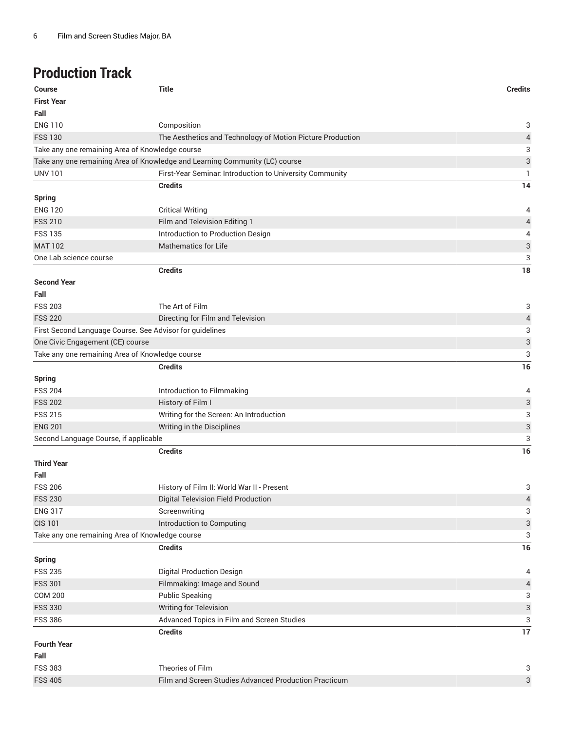## **Production Track**

| Course                                          | <b>Title</b>                                                                | <b>Credits</b>            |
|-------------------------------------------------|-----------------------------------------------------------------------------|---------------------------|
| <b>First Year</b>                               |                                                                             |                           |
| Fall                                            |                                                                             |                           |
| <b>ENG 110</b>                                  | Composition                                                                 | 3                         |
| <b>FSS 130</b>                                  | The Aesthetics and Technology of Motion Picture Production                  | 4                         |
| Take any one remaining Area of Knowledge course |                                                                             | 3                         |
|                                                 | Take any one remaining Area of Knowledge and Learning Community (LC) course | $\ensuremath{\mathsf{3}}$ |
| <b>UNV 101</b>                                  | First-Year Seminar. Introduction to University Community                    | 1.                        |
|                                                 | <b>Credits</b>                                                              | 14                        |
| <b>Spring</b>                                   |                                                                             |                           |
| <b>ENG 120</b>                                  | <b>Critical Writing</b>                                                     | 4                         |
| <b>FSS 210</b>                                  | Film and Television Editing 1                                               | 4                         |
| <b>FSS 135</b>                                  | Introduction to Production Design                                           | 4                         |
| <b>MAT 102</b>                                  | <b>Mathematics for Life</b>                                                 | 3                         |
| One Lab science course                          |                                                                             | 3                         |
|                                                 | <b>Credits</b>                                                              | 18                        |
| <b>Second Year</b>                              |                                                                             |                           |
| Fall                                            |                                                                             |                           |
| <b>FSS 203</b>                                  | The Art of Film                                                             | 3                         |
| <b>FSS 220</b>                                  | Directing for Film and Television                                           | 4                         |
|                                                 | First Second Language Course. See Advisor for guidelines                    | 3                         |
| One Civic Engagement (CE) course                |                                                                             | 3                         |
| Take any one remaining Area of Knowledge course |                                                                             | 3                         |
|                                                 | <b>Credits</b>                                                              | 16                        |
| <b>Spring</b>                                   |                                                                             |                           |
| <b>FSS 204</b>                                  | Introduction to Filmmaking                                                  | 4                         |
| <b>FSS 202</b>                                  | History of Film I                                                           | 3                         |
| <b>FSS 215</b>                                  | Writing for the Screen: An Introduction                                     | 3                         |
| <b>ENG 201</b>                                  | Writing in the Disciplines                                                  | $\ensuremath{\mathsf{3}}$ |
| Second Language Course, if applicable           |                                                                             | 3                         |
|                                                 | <b>Credits</b>                                                              | 16                        |
| <b>Third Year</b>                               |                                                                             |                           |
| Fall                                            |                                                                             |                           |
| <b>FSS 206</b>                                  | History of Film II: World War II - Present                                  | 3                         |
| <b>FSS 230</b>                                  | Digital Television Field Production                                         | $\sqrt{4}$                |
| <b>ENG 317</b>                                  | Screenwriting                                                               | 3                         |
| <b>CIS 101</b>                                  | Introduction to Computing                                                   | $\ensuremath{\mathsf{3}}$ |
| Take any one remaining Area of Knowledge course |                                                                             | 3                         |
|                                                 | <b>Credits</b>                                                              | 16                        |
| <b>Spring</b>                                   |                                                                             |                           |
| <b>FSS 235</b>                                  | <b>Digital Production Design</b>                                            | 4                         |
| <b>FSS 301</b>                                  | Filmmaking: Image and Sound                                                 | 4                         |
| <b>COM 200</b>                                  | <b>Public Speaking</b>                                                      | 3                         |
| <b>FSS 330</b>                                  | <b>Writing for Television</b>                                               | $\ensuremath{\mathsf{3}}$ |
| <b>FSS 386</b>                                  | Advanced Topics in Film and Screen Studies                                  | 3                         |
|                                                 | <b>Credits</b>                                                              | 17                        |
| <b>Fourth Year</b>                              |                                                                             |                           |
| Fall                                            |                                                                             |                           |
| <b>FSS 383</b>                                  | Theories of Film                                                            | 3                         |
| <b>FSS 405</b>                                  | Film and Screen Studies Advanced Production Practicum                       | $\ensuremath{\mathsf{3}}$ |